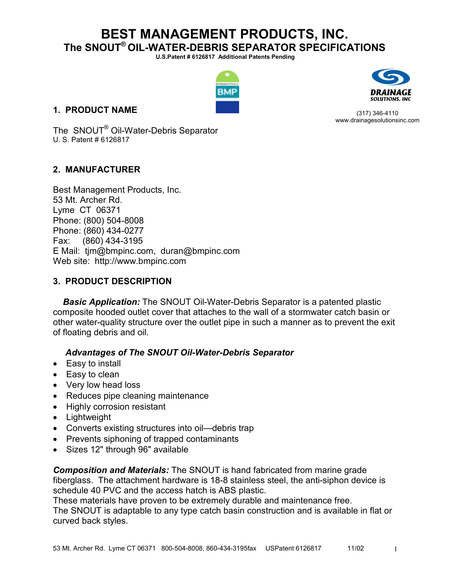**U.S.Patent # 6126817 Additional Patents Pending** 



## **1. PRODUCT NAME**

(317) 346-4110 www.drainagesolutionsinc.com

The SNOUT® Oil-Water-Debris Separator U. S. Patent # 6126817

## **2. MANUFACTURER**

Best Management Products, Inc. 53 Mt. Archer Rd. Lyme CT 06371 Phone: (800) 504-8008 Phone: (860) 434-0277 Fax: (860) 434-3195 E Mail: tjm@bmpinc.com, duran@bmpinc.com Web site: http://www.bmpinc.com

## **3. PRODUCT DESCRIPTION**

*Basic Application:* The SNOUT Oil-Water-Debris Separator is a patented plastic composite hooded outlet cover that attaches to the wall of a stormwater catch basin or other water-quality structure over the outlet pipe in such a manner as to prevent the exit of floating debris and oil.

## *Advantages of The SNOUT Oil-Water-Debris Separator*

- Easy to install
- Easy to clean
- Very low head loss
- Reduces pipe cleaning maintenance
- Highly corrosion resistant
- Lightweight
- Converts existing structures into oil—debris trap
- Prevents siphoning of trapped contaminants
- Sizes 12" through 96" available

*Composition and Materials:* The SNOUT is hand fabricated from marine grade fiberglass. The attachment hardware is 18-8 stainless steel, the anti-siphon device is schedule 40 PVC and the access hatch is ABS plastic.

These materials have proven to be extremely durable and maintenance free. The SNOUT is adaptable to any type catch basin construction and is available in flat or curved back styles.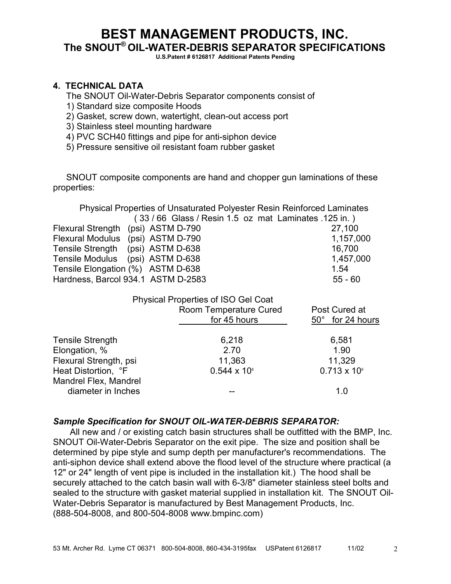**U.S.Patent # 6126817 Additional Patents Pending** 

## **4. TECHNICAL DATA**

The SNOUT Oil-Water-Debris Separator components consist of

- 1) Standard size composite Hoods
- 2) Gasket, screw down, watertight, clean-out access port
- 3) Stainless steel mounting hardware
- 4) PVC SCH40 fittings and pipe for anti-siphon device
- 5) Pressure sensitive oil resistant foam rubber gasket

 SNOUT composite components are hand and chopper gun laminations of these properties:

 Physical Properties of Unsaturated Polyester Resin Reinforced Laminates ( 33 / 66 Glass / Resin 1.5 oz mat Laminates .125 in. ) Flexural Strength (psi) ASTM D-790 27,100

| Flexural Modulus (psi) ASTM D-790  | 1,157,000 |
|------------------------------------|-----------|
| Tensile Strength (psi) ASTM D-638  | 16.700    |
| Tensile Modulus (psi) ASTM D-638   | 1,457,000 |
| Tensile Elongation (%) ASTM D-638  | 1.54      |
| Hardness, Barcol 934.1 ASTM D-2583 | 55 - 60   |

|                         | <b>Physical Properties of ISO Gel Coat</b> |                                   |
|-------------------------|--------------------------------------------|-----------------------------------|
|                         | Room Temperature Cured<br>for 45 hours     | Post Cured at<br>50° for 24 hours |
|                         |                                            |                                   |
| <b>Tensile Strength</b> | 6,218                                      | 6,581                             |
| Elongation, %           | 2.70                                       | 1.90                              |
| Flexural Strength, psi  | 11,363                                     | 11,329                            |
| Heat Distortion, °F     | $0.544 \times 10^{6}$                      | $0.713 \times 10^{6}$             |
| Mandrel Flex, Mandrel   |                                            |                                   |
| diameter in Inches      |                                            | 1.0                               |
|                         |                                            |                                   |

## *Sample Specification for SNOUT OIL-WATER-DEBRIS SEPARATOR:*

All new and / or existing catch basin structures shall be outfitted with the BMP, Inc. SNOUT Oil-Water-Debris Separator on the exit pipe. The size and position shall be determined by pipe style and sump depth per manufacturer's recommendations. The anti-siphon device shall extend above the flood level of the structure where practical (a 12" or 24" length of vent pipe is included in the installation kit.) The hood shall be securely attached to the catch basin wall with 6-3/8" diameter stainless steel bolts and sealed to the structure with gasket material supplied in installation kit. The SNOUT Oil-Water-Debris Separator is manufactured by Best Management Products, Inc. (888-504-8008, and 800-504-8008 www.bmpinc.com)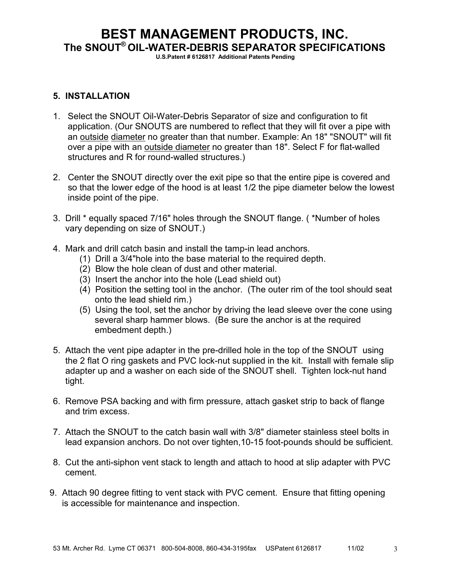**U.S.Patent # 6126817 Additional Patents Pending** 

#### **5. INSTALLATION**

- 1. Select the SNOUT Oil-Water-Debris Separator of size and configuration to fit application. (Our SNOUTS are numbered to reflect that they will fit over a pipe with an outside diameter no greater than that number. Example: An 18" "SNOUT" will fit over a pipe with an outside diameter no greater than 18". Select F for flat-walled structures and R for round-walled structures.)
- 2. Center the SNOUT directly over the exit pipe so that the entire pipe is covered and so that the lower edge of the hood is at least 1/2 the pipe diameter below the lowest inside point of the pipe.
- 3. Drill \* equally spaced 7/16" holes through the SNOUT flange. ( \*Number of holes vary depending on size of SNOUT.)
- 4. Mark and drill catch basin and install the tamp-in lead anchors.
	- (1) Drill a 3/4"hole into the base material to the required depth.
	- (2) Blow the hole clean of dust and other material.
	- (3) Insert the anchor into the hole (Lead shield out)
	- (4) Position the setting tool in the anchor. (The outer rim of the tool should seat onto the lead shield rim.)
	- (5) Using the tool, set the anchor by driving the lead sleeve over the cone using several sharp hammer blows. (Be sure the anchor is at the required embedment depth.)
- 5. Attach the vent pipe adapter in the pre-drilled hole in the top of the SNOUT using the 2 flat O ring gaskets and PVC lock-nut supplied in the kit. Install with female slip adapter up and a washer on each side of the SNOUT shell. Tighten lock-nut hand tight.
- 6. Remove PSA backing and with firm pressure, attach gasket strip to back of flange and trim excess.
- 7. Attach the SNOUT to the catch basin wall with 3/8" diameter stainless steel bolts in lead expansion anchors. Do not over tighten,10-15 foot-pounds should be sufficient.
- 8. Cut the anti-siphon vent stack to length and attach to hood at slip adapter with PVC cement.
- 9. Attach 90 degree fitting to vent stack with PVC cement. Ensure that fitting opening is accessible for maintenance and inspection.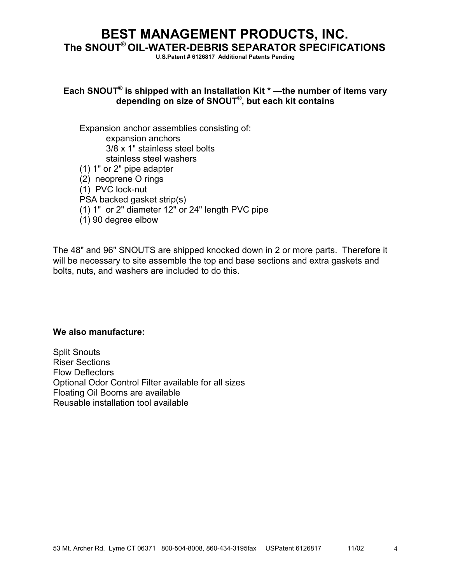**U.S.Patent # 6126817 Additional Patents Pending** 

## **Each SNOUT® is shipped with an Installation Kit \* —the number of items vary depending on size of SNOUT® , but each kit contains**

Expansion anchor assemblies consisting of: expansion anchors 3/8 x 1" stainless steel bolts stainless steel washers (1) 1" or 2" pipe adapter (2) neoprene O rings (1) PVC lock-nut PSA backed gasket strip(s) (1) 1" or 2" diameter 12" or 24" length PVC pipe (1) 90 degree elbow

The 48" and 96" SNOUTS are shipped knocked down in 2 or more parts. Therefore it will be necessary to site assemble the top and base sections and extra gaskets and bolts, nuts, and washers are included to do this.

#### **We also manufacture:**

Split Snouts Riser Sections Flow Deflectors Optional Odor Control Filter available for all sizes Floating Oil Booms are available Reusable installation tool available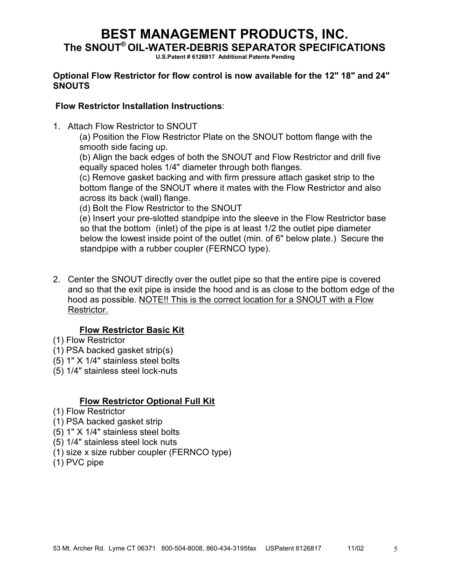**U.S.Patent # 6126817 Additional Patents Pending** 

## **Optional Flow Restrictor for flow control is now available for the 12" 18" and 24" SNOUTS**

## **Flow Restrictor Installation Instructions**:

1. Attach Flow Restrictor to SNOUT

(a) Position the Flow Restrictor Plate on the SNOUT bottom flange with the smooth side facing up.

(b) Align the back edges of both the SNOUT and Flow Restrictor and drill five equally spaced holes 1/4" diameter through both flanges.

(c) Remove gasket backing and with firm pressure attach gasket strip to the bottom flange of the SNOUT where it mates with the Flow Restrictor and also across its back (wall) flange.

(d) Bolt the Flow Restrictor to the SNOUT

 (e) Insert your pre-slotted standpipe into the sleeve in the Flow Restrictor base so that the bottom (inlet) of the pipe is at least 1/2 the outlet pipe diameter below the lowest inside point of the outlet (min. of 6" below plate.) Secure the standpipe with a rubber coupler (FERNCO type).

2. Center the SNOUT directly over the outlet pipe so that the entire pipe is covered and so that the exit pipe is inside the hood and is as close to the bottom edge of the hood as possible. NOTE!! This is the correct location for a SNOUT with a Flow Restrictor.

## **Flow Restrictor Basic Kit**

- (1) Flow Restrictor
- (1) PSA backed gasket strip(s)
- (5) 1" X 1/4" stainless steel bolts
- (5) 1/4" stainless steel lock-nuts

## **Flow Restrictor Optional Full Kit**

- (1) Flow Restrictor
- (1) PSA backed gasket strip
- (5) 1" X 1/4" stainless steel bolts
- (5) 1/4" stainless steel lock nuts
- (1) size x size rubber coupler (FERNCO type)
- (1) PVC pipe